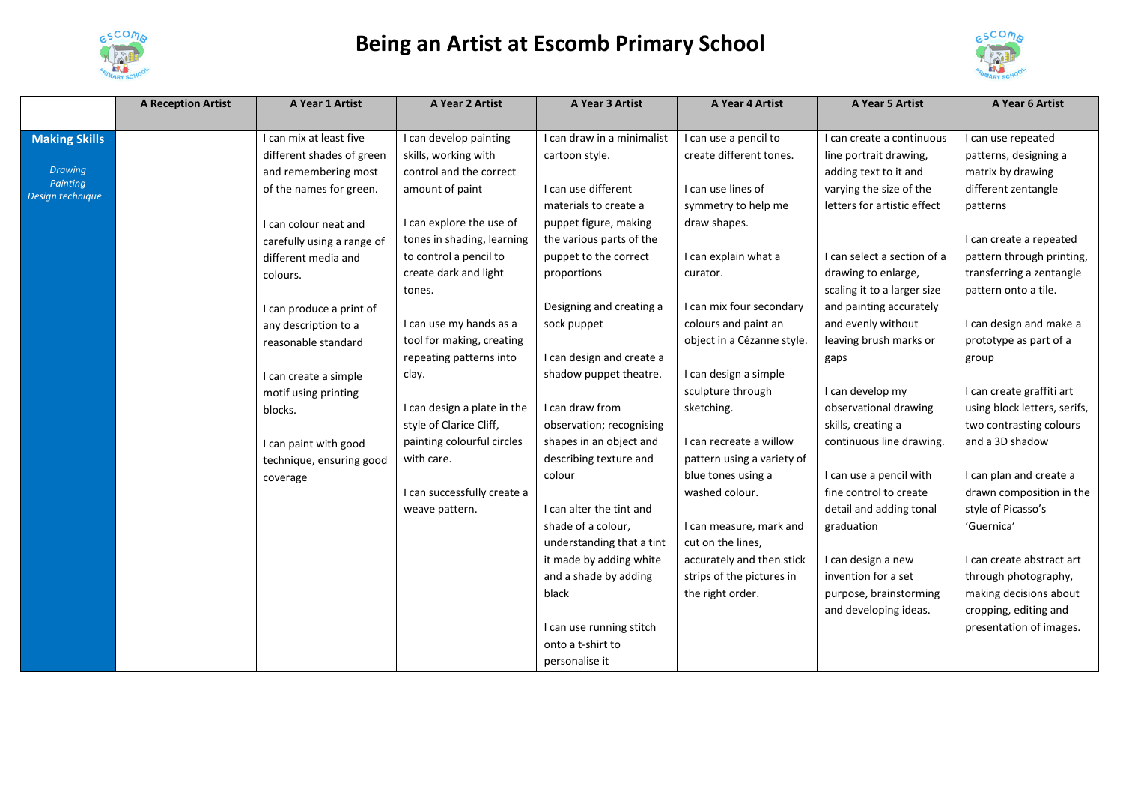

## **Being an Artist at Escomb Primary School**



|                              | <b>A Reception Artist</b> | A Year 1 Artist            | A Year 2 Artist             | A Year 3 Artist            | A Year 4 Artist            | A Year 5 Artist             | A Year 6 Artist              |
|------------------------------|---------------------------|----------------------------|-----------------------------|----------------------------|----------------------------|-----------------------------|------------------------------|
|                              |                           |                            |                             |                            |                            |                             |                              |
| <b>Making Skills</b>         |                           | I can mix at least five    | I can develop painting      | I can draw in a minimalist | I can use a pencil to      | I can create a continuous   | I can use repeated           |
|                              |                           | different shades of green  | skills, working with        | cartoon style.             | create different tones.    | line portrait drawing,      | patterns, designing a        |
| <b>Drawing</b>               |                           | and remembering most       | control and the correct     |                            |                            | adding text to it and       | matrix by drawing            |
| Painting<br>Design technique |                           | of the names for green.    | amount of paint             | I can use different        | I can use lines of         | varying the size of the     | different zentangle          |
|                              |                           |                            |                             | materials to create a      | symmetry to help me        | letters for artistic effect | patterns                     |
|                              |                           | I can colour neat and      | I can explore the use of    | puppet figure, making      | draw shapes.               |                             |                              |
|                              |                           | carefully using a range of | tones in shading, learning  | the various parts of the   |                            |                             | I can create a repeated      |
|                              |                           | different media and        | to control a pencil to      | puppet to the correct      | I can explain what a       | I can select a section of a | pattern through printing,    |
|                              |                           | colours.                   | create dark and light       | proportions                | curator.                   | drawing to enlarge,         | transferring a zentangle     |
|                              |                           |                            | tones.                      |                            |                            | scaling it to a larger size | pattern onto a tile.         |
|                              |                           | I can produce a print of   |                             | Designing and creating a   | I can mix four secondary   | and painting accurately     |                              |
|                              |                           | any description to a       | I can use my hands as a     | sock puppet                | colours and paint an       | and evenly without          | I can design and make a      |
|                              |                           | reasonable standard        | tool for making, creating   |                            | object in a Cézanne style. | leaving brush marks or      | prototype as part of a       |
|                              |                           |                            | repeating patterns into     | I can design and create a  |                            | gaps                        | group                        |
|                              |                           | I can create a simple      | clay.                       | shadow puppet theatre.     | I can design a simple      |                             |                              |
|                              |                           | motif using printing       |                             |                            | sculpture through          | I can develop my            | I can create graffiti art    |
|                              |                           | blocks.                    | I can design a plate in the | I can draw from            | sketching.                 | observational drawing       | using block letters, serifs, |
|                              |                           |                            | style of Clarice Cliff,     | observation; recognising   |                            | skills, creating a          | two contrasting colours      |
|                              |                           | I can paint with good      | painting colourful circles  | shapes in an object and    | I can recreate a willow    | continuous line drawing.    | and a 3D shadow              |
|                              |                           | technique, ensuring good   | with care.                  | describing texture and     | pattern using a variety of |                             |                              |
|                              |                           | coverage                   |                             | colour                     | blue tones using a         | I can use a pencil with     | I can plan and create a      |
|                              |                           |                            | I can successfully create a |                            | washed colour.             | fine control to create      | drawn composition in the     |
|                              |                           |                            | weave pattern.              | I can alter the tint and   |                            | detail and adding tonal     | style of Picasso's           |
|                              |                           |                            |                             | shade of a colour,         | I can measure, mark and    | graduation                  | 'Guernica'                   |
|                              |                           |                            |                             | understanding that a tint  | cut on the lines,          |                             |                              |
|                              |                           |                            |                             | it made by adding white    | accurately and then stick  | I can design a new          | I can create abstract art    |
|                              |                           |                            |                             | and a shade by adding      | strips of the pictures in  | invention for a set         | through photography,         |
|                              |                           |                            |                             | black                      | the right order.           | purpose, brainstorming      | making decisions about       |
|                              |                           |                            |                             |                            |                            | and developing ideas.       | cropping, editing and        |
|                              |                           |                            |                             | I can use running stitch   |                            |                             | presentation of images.      |
|                              |                           |                            |                             | onto a t-shirt to          |                            |                             |                              |
|                              |                           |                            |                             | personalise it             |                            |                             |                              |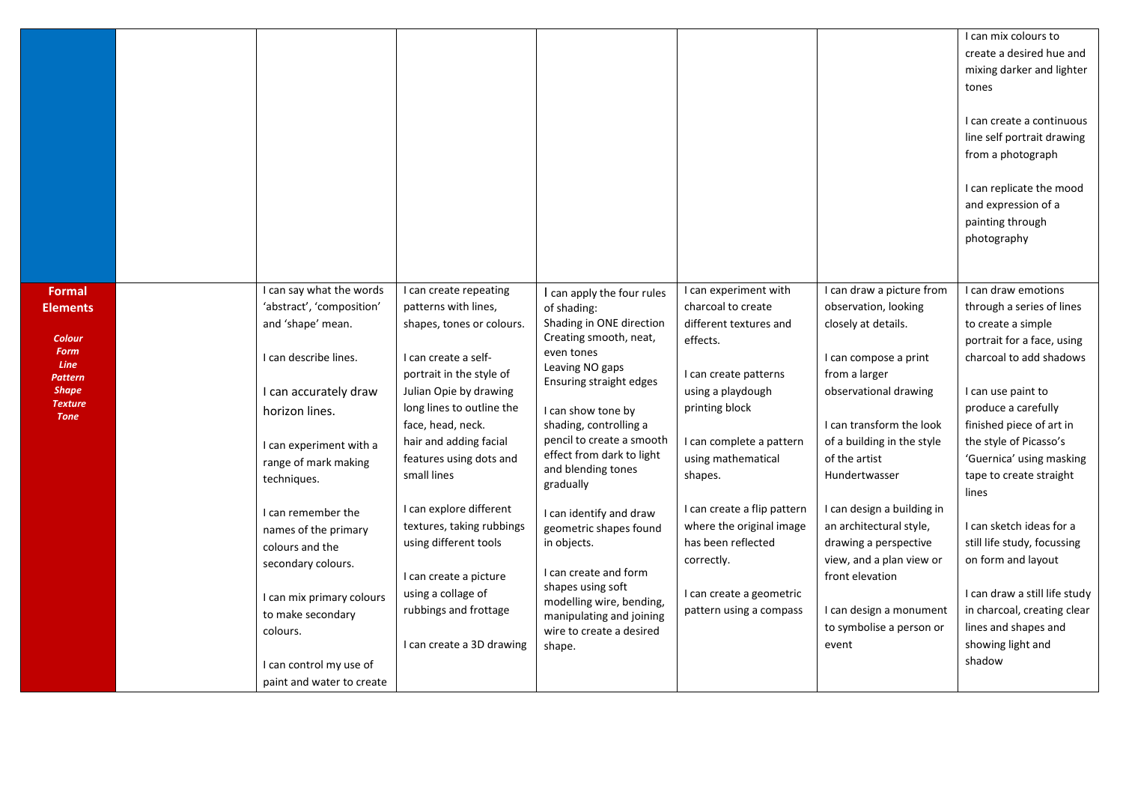|                                                                                                                                      |                                                                                                                                                                                                                                                                                                                                                                                                                               |                                                                                                                                                                                                                                                                                                                                                                                                                                                                        |                                                                                                                                                                                                                                                                                                                                                                                                                                                                                                                          |                                                                                                                                                                                                                                                                                                                                                                      |                                                                                                                                                                                                                                                                                                                                                                                                                                          | I can mix colours to<br>create a desired hue and<br>mixing darker and lighter<br>tones<br>I can create a continuous<br>line self portrait drawing<br>from a photograph<br>I can replicate the mood<br>and expression of a<br>painting through<br>photography                                                                                                                                                                                                                                               |
|--------------------------------------------------------------------------------------------------------------------------------------|-------------------------------------------------------------------------------------------------------------------------------------------------------------------------------------------------------------------------------------------------------------------------------------------------------------------------------------------------------------------------------------------------------------------------------|------------------------------------------------------------------------------------------------------------------------------------------------------------------------------------------------------------------------------------------------------------------------------------------------------------------------------------------------------------------------------------------------------------------------------------------------------------------------|--------------------------------------------------------------------------------------------------------------------------------------------------------------------------------------------------------------------------------------------------------------------------------------------------------------------------------------------------------------------------------------------------------------------------------------------------------------------------------------------------------------------------|----------------------------------------------------------------------------------------------------------------------------------------------------------------------------------------------------------------------------------------------------------------------------------------------------------------------------------------------------------------------|------------------------------------------------------------------------------------------------------------------------------------------------------------------------------------------------------------------------------------------------------------------------------------------------------------------------------------------------------------------------------------------------------------------------------------------|------------------------------------------------------------------------------------------------------------------------------------------------------------------------------------------------------------------------------------------------------------------------------------------------------------------------------------------------------------------------------------------------------------------------------------------------------------------------------------------------------------|
| Formal<br><b>Elements</b><br><b>Colour</b><br><b>Form</b><br><b>Line</b><br>Pattern<br><b>Shape</b><br><b>Texture</b><br><b>Tone</b> | I can say what the words<br>'abstract', 'composition'<br>and 'shape' mean.<br>I can describe lines.<br>I can accurately draw<br>horizon lines.<br>I can experiment with a<br>range of mark making<br>techniques.<br>I can remember the<br>names of the primary<br>colours and the<br>secondary colours.<br>I can mix primary colours<br>to make secondary<br>colours.<br>I can control my use of<br>paint and water to create | I can create repeating<br>patterns with lines,<br>shapes, tones or colours.<br>I can create a self-<br>portrait in the style of<br>Julian Opie by drawing<br>long lines to outline the<br>face, head, neck.<br>hair and adding facial<br>features using dots and<br>small lines<br>I can explore different<br>textures, taking rubbings<br>using different tools<br>I can create a picture<br>using a collage of<br>rubbings and frottage<br>I can create a 3D drawing | I can apply the four rules<br>of shading:<br>Shading in ONE direction<br>Creating smooth, neat,<br>even tones<br>Leaving NO gaps<br>Ensuring straight edges<br>I can show tone by<br>shading, controlling a<br>pencil to create a smooth<br>effect from dark to light<br>and blending tones<br>gradually<br>I can identify and draw<br>geometric shapes found<br>in objects.<br>I can create and form<br>shapes using soft<br>modelling wire, bending,<br>manipulating and joining<br>wire to create a desired<br>shape. | I can experiment with<br>charcoal to create<br>different textures and<br>effects.<br>I can create patterns<br>using a playdough<br>printing block<br>I can complete a pattern<br>using mathematical<br>shapes.<br>I can create a flip pattern<br>where the original image<br>has been reflected<br>correctly.<br>I can create a geometric<br>pattern using a compass | I can draw a picture from<br>observation, looking<br>closely at details.<br>I can compose a print<br>from a larger<br>observational drawing<br>I can transform the look<br>of a building in the style<br>of the artist<br>Hundertwasser<br>I can design a building in<br>an architectural style,<br>drawing a perspective<br>view, and a plan view or<br>front elevation<br>I can design a monument<br>to symbolise a person or<br>event | I can draw emotions<br>through a series of lines<br>to create a simple<br>portrait for a face, using<br>charcoal to add shadows<br>I can use paint to<br>produce a carefully<br>finished piece of art in<br>the style of Picasso's<br>'Guernica' using masking<br>tape to create straight<br>lines<br>I can sketch ideas for a<br>still life study, focussing<br>on form and layout<br>I can draw a still life study<br>in charcoal, creating clear<br>lines and shapes and<br>showing light and<br>shadow |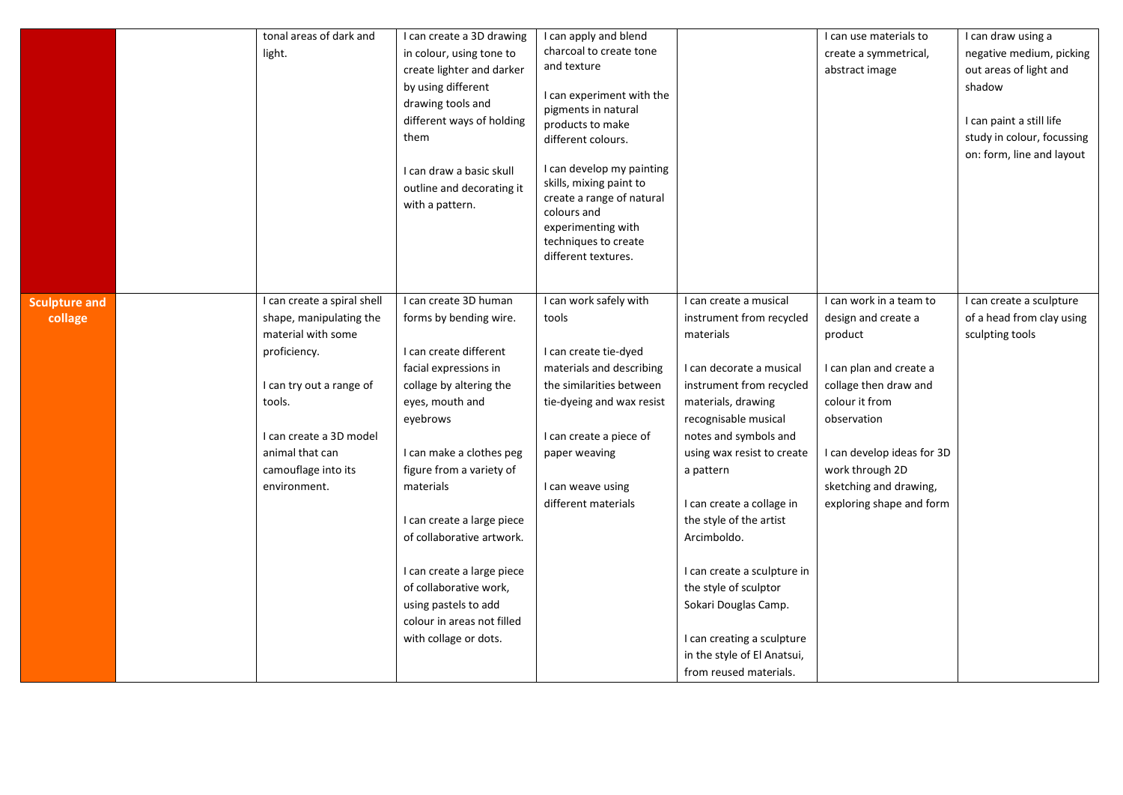|                                 | tonal areas of dark and<br>light.                                                                                                                                                                                       | I can create a 3D drawing<br>in colour, using tone to<br>create lighter and darker<br>by using different<br>drawing tools and<br>different ways of holding<br>them<br>I can draw a basic skull<br>outline and decorating it<br>with a pattern.                                                                                                                                                                                      | I can apply and blend<br>charcoal to create tone<br>and texture<br>I can experiment with the<br>pigments in natural<br>products to make<br>different colours.<br>I can develop my painting<br>skills, mixing paint to<br>create a range of natural<br>colours and<br>experimenting with<br>techniques to create<br>different textures. |                                                                                                                                                                                                                                                                                                                                                                                                                                                                                         | I can use materials to<br>create a symmetrical,<br>abstract image                                                                                                                                                                                     | I can draw using a<br>negative medium, picking<br>out areas of light and<br>shadow<br>I can paint a still life<br>study in colour, focussing<br>on: form, line and layout |
|---------------------------------|-------------------------------------------------------------------------------------------------------------------------------------------------------------------------------------------------------------------------|-------------------------------------------------------------------------------------------------------------------------------------------------------------------------------------------------------------------------------------------------------------------------------------------------------------------------------------------------------------------------------------------------------------------------------------|----------------------------------------------------------------------------------------------------------------------------------------------------------------------------------------------------------------------------------------------------------------------------------------------------------------------------------------|-----------------------------------------------------------------------------------------------------------------------------------------------------------------------------------------------------------------------------------------------------------------------------------------------------------------------------------------------------------------------------------------------------------------------------------------------------------------------------------------|-------------------------------------------------------------------------------------------------------------------------------------------------------------------------------------------------------------------------------------------------------|---------------------------------------------------------------------------------------------------------------------------------------------------------------------------|
| <b>Sculpture and</b><br>collage | I can create a spiral shell<br>shape, manipulating the<br>material with some<br>proficiency.<br>I can try out a range of<br>tools.<br>I can create a 3D model<br>animal that can<br>camouflage into its<br>environment. | I can create 3D human<br>forms by bending wire.<br>I can create different<br>facial expressions in<br>collage by altering the<br>eyes, mouth and<br>eyebrows<br>I can make a clothes peg<br>figure from a variety of<br>materials<br>I can create a large piece<br>of collaborative artwork.<br>I can create a large piece<br>of collaborative work,<br>using pastels to add<br>colour in areas not filled<br>with collage or dots. | I can work safely with<br>tools<br>I can create tie-dyed<br>materials and describing<br>the similarities between<br>tie-dyeing and wax resist<br>I can create a piece of<br>paper weaving<br>I can weave using<br>different materials                                                                                                  | I can create a musical<br>instrument from recycled<br>materials<br>I can decorate a musical<br>instrument from recycled<br>materials, drawing<br>recognisable musical<br>notes and symbols and<br>using wax resist to create<br>a pattern<br>I can create a collage in<br>the style of the artist<br>Arcimboldo.<br>I can create a sculpture in<br>the style of sculptor<br>Sokari Douglas Camp.<br>I can creating a sculpture<br>in the style of El Anatsui,<br>from reused materials. | I can work in a team to<br>design and create a<br>product<br>I can plan and create a<br>collage then draw and<br>colour it from<br>observation<br>I can develop ideas for 3D<br>work through 2D<br>sketching and drawing,<br>exploring shape and form | I can create a sculpture<br>of a head from clay using<br>sculpting tools                                                                                                  |